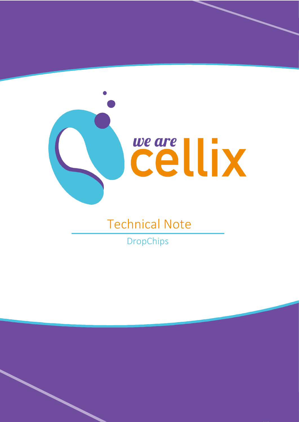

## Technical Note

DropChips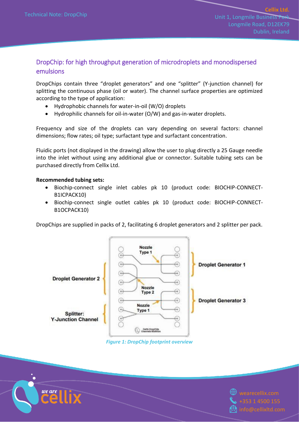## DropChip: for high throughput generation of microdroplets and monodispersed emulsions

DropChips contain three "droplet generators" and one "splitter" (Y-junction channel) for splitting the continuous phase (oil or water). The channel surface properties are optimized according to the type of application:

- Hydrophobic channels for water-in-oil (W/O) droplets
- Hydrophilic channels for oil-in-water (O/W) and gas-in-water droplets.

Frequency and size of the droplets can vary depending on several factors: channel dimensions; flow rates; oil type; surfactant type and surfactant concentration.

Fluidic ports (not displayed in the drawing) allow the user to plug directly a 25 Gauge needle into the inlet without using any additional glue or connector. Suitable tubing sets can be purchased directly from Cellix Ltd.

## **Recommended tubing sets:**

- Biochip-connect single inlet cables pk 10 (product code: BIOCHIP-CONNECT-B1ICPACK10)
- Biochip-connect single outlet cables pk 10 (product code: BIOCHIP-CONNECT-B1OCPACK10)

DropChips are supplied in packs of 2, facilitating 6 droplet generators and 2 splitter per pack.



*Figure 1: DropChip footprint overview*



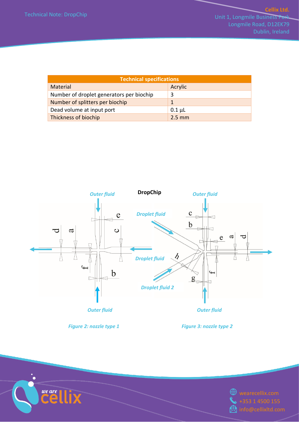| <b>Technical specifications</b>          |             |  |  |  |  |  |
|------------------------------------------|-------------|--|--|--|--|--|
| Material                                 | Acrylic     |  |  |  |  |  |
| Number of droplet generators per biochip |             |  |  |  |  |  |
| Number of splitters per biochip          |             |  |  |  |  |  |
| Dead volume at input port                | $0.1 \mu L$ |  |  |  |  |  |
| Thickness of biochip                     | $2.5$ mm    |  |  |  |  |  |



*Figure 2: nozzle type 1 Figure 3: nozzle type 2*